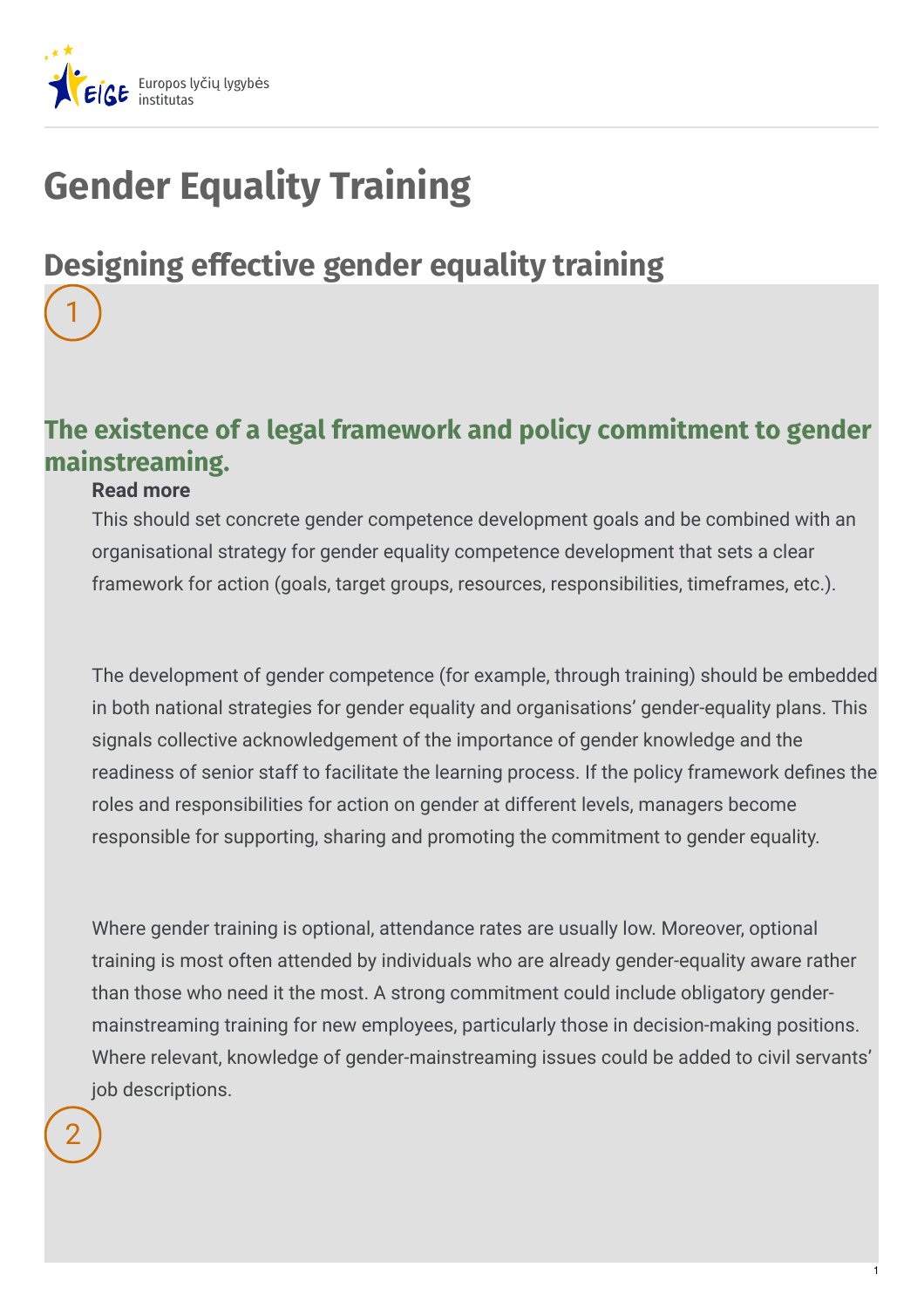

# **Gender Equality Training**

## **Designing effective gender equality training**

### **The existence of a legal framework and policy commitment to gender mainstreaming.**

#### **Read more**

1

This should set concrete gender competence development goals and be combined with an organisational strategy for gender equality competence development that sets a clear framework for action (goals, target groups, resources, responsibilities, timeframes, etc.).

The development of gender competence (for example, through training) should be embedded in both national strategies for gender equality and organisations' gender-equality plans. This signals collective acknowledgement of the importance of gender knowledge and the readiness of senior staff to facilitate the learning process. If the policy framework defines the roles and responsibilities for action on gender at different levels, managers become responsible for supporting, sharing and promoting the commitment to gender equality.

Where gender training is optional, attendance rates are usually low. Moreover, optional training is most often attended by individuals who are already gender-equality aware rather than those who need it the most. A strong commitment could include obligatory gendermainstreaming training for new employees, particularly those in decision-making positions. Where relevant, knowledge of gender-mainstreaming issues could be added to civil servants' iob descriptions.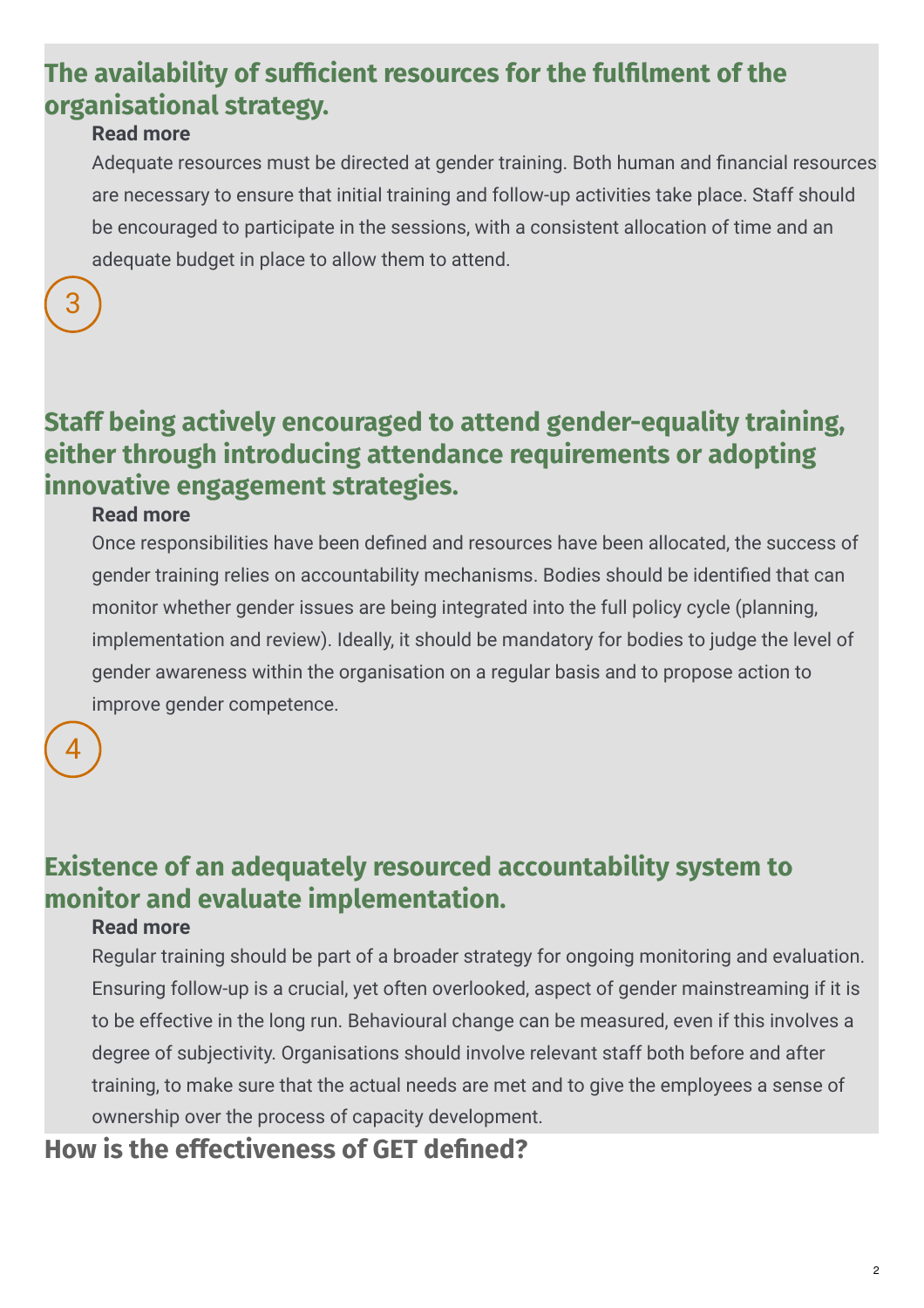### **Ridda The availability of sufficient resources for the fulfilment of the organisational strategy.**

#### **Read more**

Adequate resources must be directed at gender training. Both human and financial resources are necessary to ensure that initial training and follow-up activities take place. Staff should be encouraged to participate in the sessions, with a consistent allocation of time and an adequate budget in place to allow them to attend.



### **Staff being actively encouraged to attend gender-equality training, either through introducing attendance requirements or adopting innovative engagement strategies.**

#### **Read more**

Once responsibilities have been defined and resources have been allocated, the success of gender training relies on accountability mechanisms. Bodies should be identified that can monitor whether gender issues are being integrated into the full policy cycle (planning, implementation and review). Ideally, it should be mandatory for bodies to judge the level of gender awareness within the organisation on a regular basis and to propose action to improve gender competence.

#### 4

### **Existence of an adequately resourced accountability system to monitor and evaluate implementation.**

#### **Read more**

Regular training should be part of a broader strategy for ongoing monitoring and evaluation. Ensuring follow-up is a crucial, yet often overlooked, aspect of gender mainstreaming if it is to be effective in the long run. Behavioural change can be measured, even if this involves a degree of subjectivity. Organisations should involve relevant staff both before and after training, to make sure that the actual needs are met and to give the employees a sense of ownership over the process of capacity development.

#### **How** is the effectiveness of GET defined?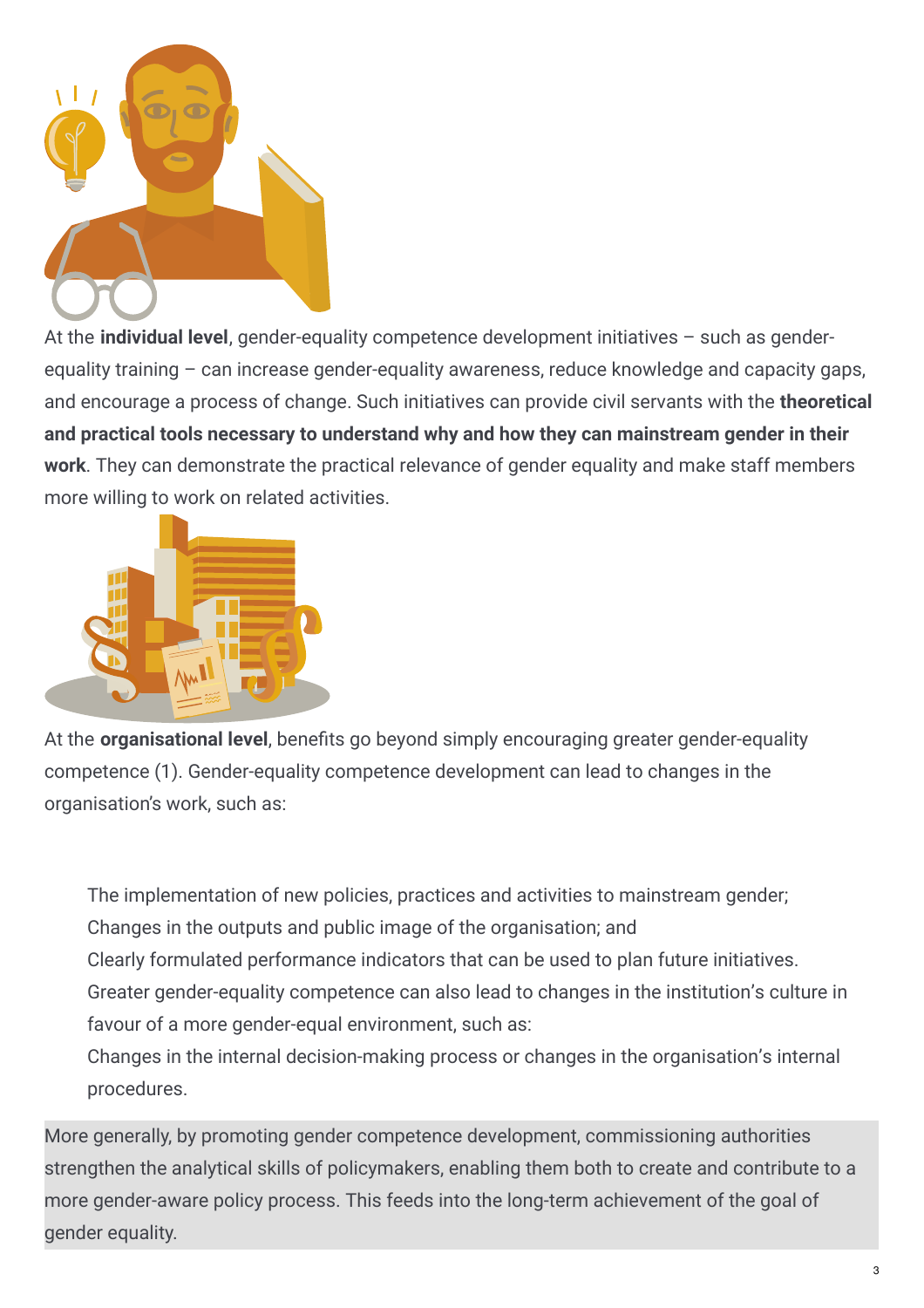

At the **individual level**, gender-equality competence development initiatives – such as genderequality training – can increase gender-equality awareness, reduce knowledge and capacity gaps, and encourage a process of change. Such initiatives can provide civil servants with the **theoretical and practical tools necessary to understand why and how they can mainstream gender in their work**. They can demonstrate the practical relevance of gender equality and make staff members more willing to work on related activities.



At the **organisational level**, benefits go beyond simply encouraging greater gender-equality competence (1). Gender-equality competence development can lead to changes in the organisation's work, such as:

The implementation of new policies, practices and activities to mainstream gender; Changes in the outputs and public image of the organisation; and

Clearly formulated performance indicators that can be used to plan future initiatives.

Greater gender-equality competence can also lead to changes in the institution's culture in favour of a more gender-equal environment, such as:

Changes in the internal decision-making process or changes in the organisation's internal procedures.

More generally, by promoting gender competence development, commissioning authorities strengthen the analytical skills of policymakers, enabling them both to create and contribute to a more gender-aware policy process. This feeds into the long-term achievement of the goal of gender equality.